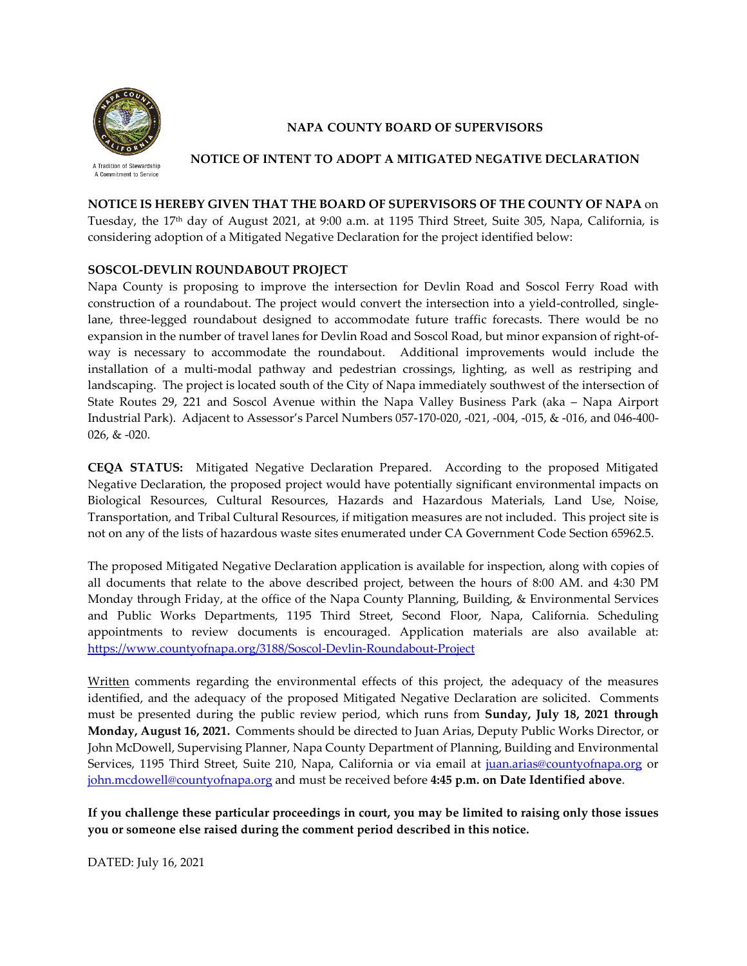

A Commitment to Service

## **NAPA COUNTY BOARD OF SUPERVISORS**

**NOTICE OF INTENT TO ADOPT A MITIGATED NEGATIVE DECLARATION**

**NOTICE IS HEREBY GIVEN THAT THE BOARD OF SUPERVISORS OF THE COUNTY OF NAPA** on Tuesday, the 17th day of August 2021, at 9:00 a.m. at 1195 Third Street, Suite 305, Napa, California, is considering adoption of a Mitigated Negative Declaration for the project identified below:

## **SOSCOL-DEVLIN ROUNDABOUT PROJECT**

Napa County is proposing to improve the intersection for Devlin Road and Soscol Ferry Road with construction of a roundabout. The project would convert the intersection into a yield-controlled, singlelane, three-legged roundabout designed to accommodate future traffic forecasts. There would be no expansion in the number of travel lanes for Devlin Road and Soscol Road, but minor expansion of right-ofway is necessary to accommodate the roundabout. Additional improvements would include the installation of a multi-modal pathway and pedestrian crossings, lighting, as well as restriping and landscaping. The project is located south of the City of Napa immediately southwest of the intersection of State Routes 29, 221 and Soscol Avenue within the Napa Valley Business Park (aka – Napa Airport Industrial Park). Adjacent to Assessor's Parcel Numbers 057-170-020, -021, -004, -015, & -016, and 046-400- 026, & -020.

**CEQA STATUS:** Mitigated Negative Declaration Prepared. According to the proposed Mitigated Negative Declaration, the proposed project would have potentially significant environmental impacts on Biological Resources, Cultural Resources, Hazards and Hazardous Materials, Land Use, Noise, Transportation, and Tribal Cultural Resources, if mitigation measures are not included. This project site is not on any of the lists of hazardous waste sites enumerated under CA Government Code Section 65962.5.

The proposed Mitigated Negative Declaration application is available for inspection, along with copies of all documents that relate to the above described project, between the hours of 8:00 AM. and 4:30 PM Monday through Friday, at the office of the Napa County Planning, Building, & Environmental Services and Public Works Departments, 1195 Third Street, Second Floor, Napa, California. Scheduling appointments to review documents is encouraged. Application materials are also available at: <https://www.countyofnapa.org/3188/Soscol-Devlin-Roundabout-Project>

Written comments regarding the environmental effects of this project, the adequacy of the measures identified, and the adequacy of the proposed Mitigated Negative Declaration are solicited. Comments must be presented during the public review period, which runs from **Sunday, July 18, 2021 through Monday, August 16, 2021.** Comments should be directed to Juan Arias, Deputy Public Works Director, or John McDowell, Supervising Planner, Napa County Department of Planning, Building and Environmental Services, 1195 Third Street, Suite 210, Napa, California or via email at [juan.arias@countyofnapa.org](mailto:juan.arias@countyofnapa.org) or [john.mcdowell@countyofnapa.org](mailto:john.mcdowell@countyofnapa.org) and must be received before **4:45 p.m. on Date Identified above**.

**If you challenge these particular proceedings in court, you may be limited to raising only those issues you or someone else raised during the comment period described in this notice.**

DATED: July 16, 2021